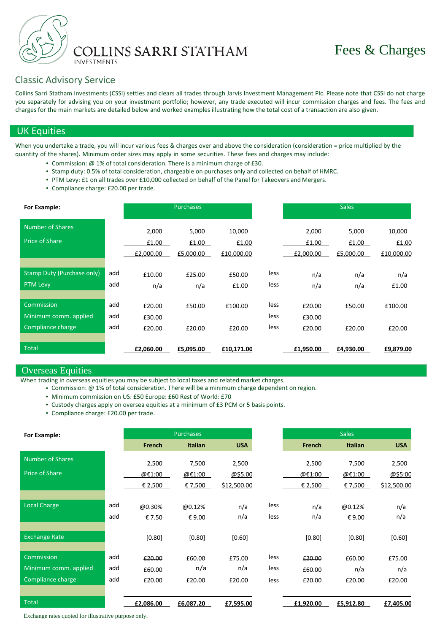

# Classic Advisory Service

Collins Sarri Statham Investments (CSSI) settles and clears all trades through Jarvis Investment Management Plc. Please note that CSSI do not charge you separately for advising you on your investment portfolio; however, any trade executed will incur commission charges and fees. The fees and charges for the main markets are detailed below and worked examples illustrating how the total cost of a transaction are also given.

## UK Equities

When you undertake a trade, you will incur various fees & charges over and above the consideration (consideration = price multiplied by the quantity of the shares). Minimum order sizes may apply in some securities. These fees and charges may include:

- Commission: @ 1% of total consideration. There is a minimum charge of £30.
- Stamp duty: 0.5% of total consideration, chargeable on purchases only and collected on behalf of HMRC.
- PTM Levy: £1 on all trades over £10,000 collected on behalf of the Panel for Takeovers and Mergers.
- Compliance charge: £20.00 per trade.

| For Example:                                             |                   |                             | <b>Purchases</b>            |                               |                      |                             | <b>Sales</b>                |                               |
|----------------------------------------------------------|-------------------|-----------------------------|-----------------------------|-------------------------------|----------------------|-----------------------------|-----------------------------|-------------------------------|
| Number of Shares<br><b>Price of Share</b>                |                   | 2,000<br>£1.00<br>£2,000.00 | 5,000<br>£1.00<br>£5,000.00 | 10,000<br>£1.00<br>£10,000.00 |                      | 2,000<br>£1.00<br>£2,000.00 | 5,000<br>£1.00<br>£5,000.00 | 10,000<br>£1.00<br>£10,000.00 |
| <b>Stamp Duty (Purchase only)</b><br><b>PTM</b> Levy     | add<br>add        | £10.00<br>n/a               | £25.00<br>n/a               | £50.00<br>£1.00               | less<br>less         | n/a<br>n/a                  | n/a<br>n/a                  | n/a<br>£1.00                  |
| Commission<br>Minimum comm. applied<br>Compliance charge | add<br>add<br>add | £20.00<br>£30.00<br>£20.00  | £50.00<br>£20.00            | £100.00<br>£20.00             | less<br>less<br>less | £20.00<br>£30.00<br>£20.00  | £50.00<br>£20.00            | £100.00<br>£20.00             |
| <b>Total</b>                                             |                   | £2,060.00                   | £5,095.00                   | £10,171.00                    |                      | £1,950.00                   | £4,930.00                   | £9,879.00                     |

## Overseas Equities

When trading in overseas equities you may be subject to local taxes and related market charges.

• Commission: @ 1% of total consideration. There will be a minimum charge dependent on region.

- Minimum commission on US: £50 Europe: £60 Rest of World: £70
- Custody charges apply on oversea equities at a minimum of £3 PCM or 5 basis points.
- Compliance charge: £20.00 per trade.

| For Example:            |     |               | <b>Purchases</b> |             |      |               | <b>Sales</b>   |             |
|-------------------------|-----|---------------|------------------|-------------|------|---------------|----------------|-------------|
|                         |     | <b>French</b> | <b>Italian</b>   | <b>USA</b>  |      | <b>French</b> | <b>Italian</b> | <b>USA</b>  |
| <b>Number of Shares</b> |     | 2,500         | 7,500            | 2,500       |      | 2,500         | 7,500          | 2,500       |
| <b>Price of Share</b>   |     | @€1:00        | @€1:00           | @\$5.00     |      | @€1:00        | @€1:00         | @\$5:00     |
|                         |     | € 2,500       | € 7,500          | \$12,500.00 |      | € 2,500       | € 7,500        | \$12,500.00 |
|                         |     |               |                  |             |      |               |                |             |
| <b>Local Charge</b>     | add | @0.30%        | @0.12%           | n/a         | less | n/a           | @0.12%         | n/a         |
|                         | add | € 7.50        | €9.00            | n/a         | less | n/a           | €9.00          | n/a         |
|                         |     |               |                  |             |      |               |                |             |
| <b>Exchange Rate</b>    |     | [0.80]        | [0.80]           | [0.60]      |      | [0.80]        | [0.80]         | [0.60]      |
| Commission              | add |               |                  |             |      |               |                |             |
|                         |     | £20.00        | £60.00           | £75.00      | less | £20.00        | £60.00         | £75.00      |
| Minimum comm. applied   | add | £60.00        | n/a              | n/a         | less | £60.00        | n/a            | n/a         |
| Compliance charge       | add | £20.00        | £20.00           | £20.00      | less | £20.00        | £20.00         | £20.00      |
|                         |     |               |                  |             |      |               |                |             |
| <b>Total</b>            |     | £2,086.00     | £6,087.20        | £7,595.00   |      | £1,920.00     | £5,912.80      | £7,405.00   |

Exchange rates quoted for illustrative purpose only.